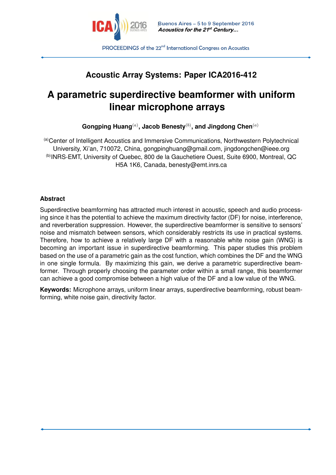

**PROCEEDINGS** of the 22<sup>nd</sup> International Congress on Acoustics

# **Acoustic Array Systems: Paper ICA2016-412**

# **A parametric superdirective beamformer with uniform linear microphone arrays**

**Gongping Huang**(*a*) **, Jacob Benesty**(*b*) **, and Jingdong Chen**(*a*)

(a)Center of Intelligent Acoustics and Immersive Communications, Northwestern Polytechnical University, Xi'an, 710072, China, gongpinghuang@gmail.com, jingdongchen@ieee.org (b)INRS-EMT, University of Quebec, 800 de la Gauchetiere Ouest, Suite 6900, Montreal, QC H5A 1K6, Canada, benesty@emt.inrs.ca

#### **Abstract**

Superdirective beamforming has attracted much interest in acoustic, speech and audio processing since it has the potential to achieve the maximum directivity factor (DF) for noise, interference, and reverberation suppression. However, the superdirective beamformer is sensitive to sensors' noise and mismatch between sensors, which considerably restricts its use in practical systems. Therefore, how to achieve a relatively large DF with a reasonable white noise gain (WNG) is becoming an important issue in superdirective beamforming. This paper studies this problem based on the use of a parametric gain as the cost function, which combines the DF and the WNG in one single formula. By maximizing this gain, we derive a parametric superdirective beamformer. Through properly choosing the parameter order within a small range, this beamformer can achieve a good compromise between a high value of the DF and a low value of the WNG.

**Keywords:** Microphone arrays, uniform linear arrays, superdirective beamforming, robust beamforming, white noise gain, directivity factor.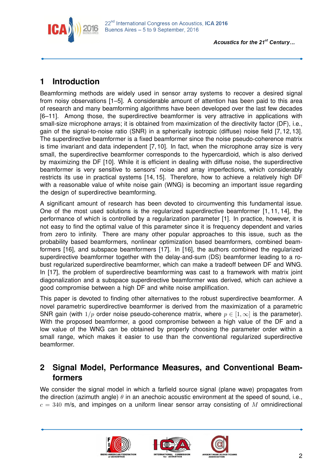

# **1 Introduction**

Beamforming methods are widely used in sensor array systems to recover a desired signal from noisy observations [1–5]. A considerable amount of attention has been paid to this area of research and many beamforming algorithms have been developed over the last few decades [6–11]. Among those, the superdirective beamformer is very attractive in applications with small-size microphone arrays; it is obtained from maximization of the directivity factor (DF), i.e., gain of the signal-to-noise ratio (SNR) in a spherically isotropic (diffuse) noise field [7, 12, 13]. The superdirective beamformer is a fixed beamformer since the noise pseudo-coherence matrix is time invariant and data independent [7, 10]. In fact, when the microphone array size is very small, the superdirective beamformer corresponds to the hypercardioid, which is also derived by maximizing the DF [10]. While it is efficient in dealing with diffuse noise, the superdirective beamformer is very sensitive to sensors' noise and array imperfections, which considerably restricts its use in practical systems [14, 15]. Therefore, how to achieve a relatively high DF with a reasonable value of white noise gain (WNG) is becoming an important issue regarding the design of superdirective beamforming.

A significant amount of research has been devoted to circumventing this fundamental issue. One of the most used solutions is the regularized superdirective beamformer [1, 11, 14], the performance of which is controlled by a regularization parameter [1]. In practice, however, it is not easy to find the optimal value of this parameter since it is frequency dependent and varies from zero to infinity. There are many other popular approaches to this issue, such as the probability based beamformers, nonlinear optimization based beamformers, combined beamformers [16], and subspace beamformers [17]. In [16], the authors combined the regularized superdirective beamformer together with the delay-and-sum (DS) beamformer leading to a robust regularized superdirective beamformer, which can make a tradeoff between DF and WNG. In [17], the problem of superdirective beamforming was cast to a framework with matrix joint diagonalization and a subspace superdirective beamformer was derived, which can achieve a good compromise between a high DF and white noise amplification.

This paper is devoted to finding other alternatives to the robust superdirective beamformer. A novel parametric superdirective beamformer is derived from the maximization of a parametric SNR gain (with  $1/p$  order noise pseudo-coherence matrix, where  $p \in [1,\infty]$  is the parameter). With the proposed beamformer, a good compromise between a high value of the DF and a low value of the WNG can be obtained by properly choosing the parameter order within a small range, which makes it easier to use than the conventional regularized superdirective beamformer.

### **2 Signal Model, Performance Measures, and Conventional Beamformers**

We consider the signal model in which a farfield source signal (plane wave) propagates from the direction (azimuth angle) *θ* in an anechoic acoustic environment at the speed of sound, i.e.,  $c = 340$  m/s, and impinges on a uniform linear sensor array consisting of M omnidirectional





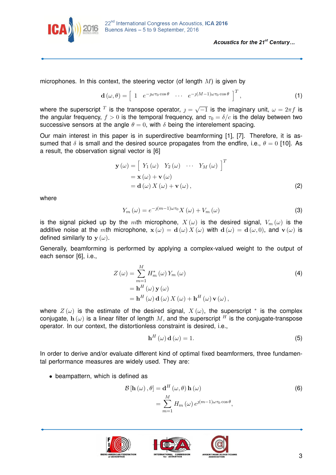

microphones. In this context, the steering vector (of length *M*) is given by

$$
\mathbf{d}\left(\omega,\theta\right) = \begin{bmatrix} 1 & e^{-\jmath\omega\tau_0\cos\theta} & \cdots & e^{-\jmath(M-1)\omega\tau_0\cos\theta} \end{bmatrix}^T, \tag{1}
$$

where the superscript  $^T$  is the transpose operator,  $j =$ √  $\overline{-1}$  is the imaginary unit,  $\omega = 2\pi f$  is the angular frequency,  $f > 0$  is the temporal frequency, and  $\tau_0 = \delta/c$  is the delay between two successive sensors at the angle  $\theta = 0$ , with  $\delta$  being the interelement spacing.

Our main interest in this paper is in superdirective beamforming [1], [7]. Therefore, it is assumed that  $\delta$  is small and the desired source propagates from the endfire, i.e.,  $\theta = 0$  [10]. As a result, the observation signal vector is [6]

$$
\mathbf{y}(\omega) = \begin{bmatrix} Y_1(\omega) & Y_2(\omega) & \cdots & Y_M(\omega) \end{bmatrix}^T
$$
  
=  $\mathbf{x}(\omega) + \mathbf{v}(\omega)$   
=  $\mathbf{d}(\omega) X(\omega) + \mathbf{v}(\omega)$ , (2)

where

$$
Y_m(\omega) = e^{-j(m-1)\omega\tau_0} X(\omega) + V_m(\omega)
$$
\n(3)

is the signal picked up by the *m*th microphone,  $X(\omega)$  is the desired signal,  $V_m(\omega)$  is the additive noise at the *m*th microphone,  $\mathbf{x}(\omega) = \mathbf{d}(\omega) X(\omega)$  with  $\mathbf{d}(\omega) = \mathbf{d}(\omega, 0)$ , and  $\mathbf{v}(\omega)$  is defined similarly to  $y(\omega)$ .

Generally, beamforming is performed by applying a complex-valued weight to the output of each sensor [6], i.e.,

$$
Z(\omega) = \sum_{m=1}^{M} H_m^*(\omega) Y_m(\omega)
$$
  
=  $\mathbf{h}^H(\omega) \mathbf{y}(\omega)$   
=  $\mathbf{h}^H(\omega) \mathbf{d}(\omega) X(\omega) + \mathbf{h}^H(\omega) \mathbf{v}(\omega),$  (4)

where  $Z(\omega)$  is the estimate of the desired signal,  $X(\omega)$ , the superscript  $*$  is the complex conjugate,  $h(\omega)$  is a linear filter of length M, and the superscript <sup>H</sup> is the conjugate-transpose operator. In our context, the distortionless constraint is desired, i.e.,

$$
\mathbf{h}^{H}(\omega)\,\mathbf{d}(\omega) = 1. \tag{5}
$$

In order to derive and/or evaluate different kind of optimal fixed beamformers, three fundamental performance measures are widely used. They are:

• beampattern, which is defined as

$$
\mathcal{B}[\mathbf{h}(\omega), \theta] = \mathbf{d}^{H}(\omega, \theta) \mathbf{h}(\omega)
$$
  
= 
$$
\sum_{m=1}^{M} H_{m}(\omega) e^{\jmath(m-1)\omega\tau_{0}\cos\theta},
$$
 (6)





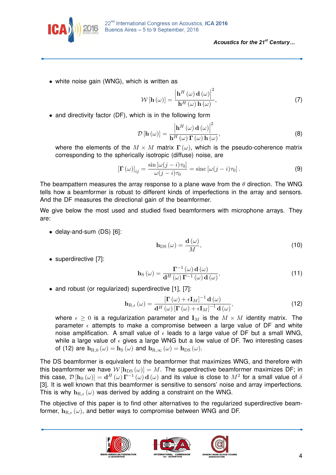

• white noise gain (WNG), which is written as

$$
\mathcal{W}\left[\mathbf{h}\left(\omega\right)\right] = \frac{\left|\mathbf{h}^{H}\left(\omega\right)\mathbf{d}\left(\omega\right)\right|^{2}}{\mathbf{h}^{H}\left(\omega\right)\mathbf{h}\left(\omega\right)},\tag{7}
$$

• and directivity factor (DF), which is in the following form

$$
\mathcal{D}\left[\mathbf{h}\left(\omega\right)\right] = \frac{\left|\mathbf{h}^{H}\left(\omega\right)\mathbf{d}\left(\omega\right)\right|^{2}}{\mathbf{h}^{H}\left(\omega\right)\mathbf{\Gamma}\left(\omega\right)\mathbf{h}\left(\omega\right)},\tag{8}
$$

where the elements of the  $M \times M$  matrix  $\Gamma(\omega)$ , which is the pseudo-coherence matrix corresponding to the spherically isotropic (diffuse) noise, are

$$
\left[\mathbf{\Gamma}\left(\omega\right)\right]_{ij} = \frac{\sin\left[\omega(j-i)\tau_0\right]}{\omega(j-i)\tau_0} = \text{sinc}\left[\omega(j-i)\tau_0\right].\tag{9}
$$

The beampattern measures the array response to a plane wave from the *θ* direction. The WNG tells how a beamformer is robust to different kinds of imperfections in the array and sensors. And the DF measures the directional gain of the beamformer.

We give below the most used and studied fixed beamformers with microphone arrays. They are:

• delay-and-sum (DS) [6]:

$$
\mathbf{h}_{\rm DS} \left( \omega \right) = \frac{\mathbf{d} \left( \omega \right)}{M},\tag{10}
$$

• superdirective [7]:

$$
\mathbf{h}_{\mathrm{S}}\left(\omega\right) = \frac{\mathbf{\Gamma}^{-1}\left(\omega\right)\mathbf{d}\left(\omega\right)}{\mathbf{d}^{H}\left(\omega\right)\mathbf{\Gamma}^{-1}\left(\omega\right)\mathbf{d}\left(\omega\right)},\tag{11}
$$

• and robust (or regularized) superdirective [1], [7]:

$$
\mathbf{h}_{\mathrm{R},\epsilon}(\omega) = \frac{\left[\mathbf{\Gamma}\left(\omega\right) + \epsilon \mathbf{I}_{M}\right]^{-1} \mathbf{d}\left(\omega\right)}{\mathbf{d}^{H}\left(\omega\right)\left[\mathbf{\Gamma}\left(\omega\right) + \epsilon \mathbf{I}_{M}\right]^{-1} \mathbf{d}\left(\omega\right)},\tag{12}
$$

where  $\epsilon > 0$  is a regularization parameter and  $\mathbf{I}_M$  is the  $M \times M$  identity matrix. The parameter  $\epsilon$  attempts to make a compromise between a large value of DF and white noise amplification. A small value of  $\epsilon$  leads to a large value of DF but a small WNG, while a large value of  $\epsilon$  gives a large WNG but a low value of DF. Two interesting cases of (12) are  $\mathbf{h}_{R,0}(\omega) = \mathbf{h}_{S}(\omega)$  and  $\mathbf{h}_{R,\infty}(\omega) = \mathbf{h}_{DS}(\omega)$ .

The DS beamformer is equivalent to the beamformer that maximizes WNG, and therefore with this beamformer we have  $W[\mathbf{h}_{DS}(\omega)] = M$ . The superdirective beamformer maximizes DF; in this case,  $\mathcal{D}[\mathbf{h}_\text{S}(\omega)]=\mathbf{d}^H\left(\omega\right)\mathbf{\Gamma}^{-1}\left(\omega\right)\mathbf{d}\left(\omega\right)$  and its value is close to  $M^2$  for a small value of  $\delta$ [3]. It is well known that this beamformer is sensitive to sensors' noise and array imperfections. This is why  $h_{\text{R}_{\ell}}(\omega)$  was derived by adding a constraint on the WNG.

The objective of this paper is to find other alternatives to the regularized superdirective beamformer,  $\mathbf{h}_{\text{R}_{\text{f}}}(w)$ , and better ways to compromise between WNG and DF.





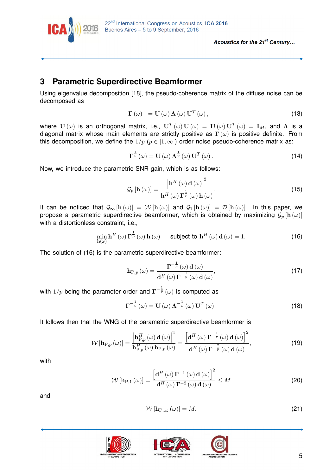

#### **3 Parametric Superdirective Beamformer**

Using eigenvalue decomposition [18], the pseudo-coherence matrix of the diffuse noise can be decomposed as

$$
\Gamma(\omega) = \mathbf{U}(\omega) \, \mathbf{\Lambda}(\omega) \, \mathbf{U}^T(\omega) \,, \tag{13}
$$

where  $\mathbf{U}(\omega)$  is an orthogonal matrix, i.e.,  $\mathbf{U}^T(\omega)\mathbf{U}(\omega) = \mathbf{U}(\omega)\mathbf{U}^T(\omega) = \mathbf{I}_M$ , and  $\boldsymbol{\Lambda}$  is a diagonal matrix whose main elements are strictly positive as **Γ**(*ω*) is positive definite. From this decomposition, we define the  $1/p$  ( $p \in [1,\infty]$ ) order noise pseudo-coherence matrix as:

$$
\Gamma^{\frac{1}{p}}\left(\omega\right) = \mathbf{U}\left(\omega\right)\Lambda^{\frac{1}{p}}\left(\omega\right)\mathbf{U}^{T}\left(\omega\right). \tag{14}
$$

Now, we introduce the parametric SNR gain, which is as follows:

$$
\mathcal{G}_p\left[\mathbf{h}\left(\omega\right)\right] = \frac{\left|\mathbf{h}^H\left(\omega\right)\mathbf{d}\left(\omega\right)\right|^2}{\mathbf{h}^H\left(\omega\right)\mathbf{\Gamma}^{\frac{1}{p}}\left(\omega\right)\mathbf{h}\left(\omega\right)}.\tag{15}
$$

It can be noticed that  $\mathcal{G}_{\infty}[\mathbf{h}(\omega)] = \mathcal{W}[\mathbf{h}(\omega)]$  and  $\mathcal{G}_{1}[\mathbf{h}(\omega)] = \mathcal{D}[\mathbf{h}(\omega)]$ . In this paper, we propose a parametric superdirective beamformer, which is obtained by maximizing  $\mathcal{G}_p$  [h  $(\omega)$ ] with a distortionless constraint, i.e.,

$$
\min_{\mathbf{h}(\omega)} \mathbf{h}^{H}(\omega) \mathbf{\Gamma}^{\frac{1}{p}}(\omega) \mathbf{h}(\omega) \quad \text{subject to } \mathbf{h}^{H}(\omega) \mathbf{d}(\omega) = 1. \tag{16}
$$

The solution of (16) is the parametric superdirective beamformer:

$$
\mathbf{h}_{P,p}(\omega) = \frac{\mathbf{\Gamma}^{-\frac{1}{p}}(\omega) \mathbf{d}(\omega)}{\mathbf{d}^{H}(\omega) \mathbf{\Gamma}^{-\frac{1}{p}}(\omega) \mathbf{d}(\omega)},
$$
\n(17)

with  $1/p$  being the parameter order and  $\Gamma^{-\frac{1}{p}}\left(\omega\right)$  is computed as

$$
\mathbf{\Gamma}^{-\frac{1}{p}}\left(\omega\right) = \mathbf{U}\left(\omega\right) \mathbf{\Lambda}^{-\frac{1}{p}}\left(\omega\right) \mathbf{U}^{T}\left(\omega\right). \tag{18}
$$

It follows then that the WNG of the parametric superdirective beamformer is

$$
\mathcal{W}\left[\mathbf{h}_{P,p}\left(\omega\right)\right] = \frac{\left|\mathbf{h}_{P,p}^{H}\left(\omega\right)\mathbf{d}\left(\omega\right)\right|^{2}}{\mathbf{h}_{P,p}^{H}\left(\omega\right)\mathbf{h}_{P,p}\left(\omega\right)} = \frac{\left[\mathbf{d}^{H}\left(\omega\right)\mathbf{\Gamma}^{-\frac{1}{p}}\left(\omega\right)\mathbf{d}\left(\omega\right)\right]^{2}}{\mathbf{d}^{H}\left(\omega\right)\mathbf{\Gamma}^{-\frac{2}{p}}\left(\omega\right)\mathbf{d}\left(\omega\right)},\tag{19}
$$

with

$$
\mathcal{W}\left[\mathbf{h}_{\mathrm{P},1}\left(\omega\right)\right] = \frac{\left[\mathbf{d}^H\left(\omega\right)\mathbf{\Gamma}^{-1}\left(\omega\right)\mathbf{d}\left(\omega\right)\right]^2}{\mathbf{d}^H\left(\omega\right)\mathbf{\Gamma}^{-2}\left(\omega\right)\mathbf{d}\left(\omega\right)} \leq M \tag{20}
$$

and

$$
W\left[\mathbf{h}_{P,\infty}\left(\omega\right)\right]=M.\tag{21}
$$





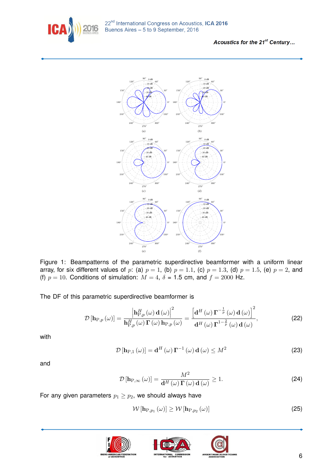



Figure 1: Beampatterns of the parametric superdirective beamformer with a uniform linear array, for six different values of  $p$ : (a)  $p = 1$ , (b)  $p = 1.1$ , (c)  $p = 1.3$ , (d)  $p = 1.5$ , (e)  $p = 2$ , and (f)  $p = 10$ . Conditions of simulation:  $M = 4$ ,  $\delta = 1.5$  cm, and  $f = 2000$  Hz.

The DF of this parametric superdirective beamformer is

$$
\mathcal{D}\left[\mathbf{h}_{P,p}\left(\omega\right)\right] = \frac{\left|\mathbf{h}_{P,p}^{H}\left(\omega\right)\mathbf{d}\left(\omega\right)\right|^{2}}{\mathbf{h}_{P,p}^{H}\left(\omega\right)\mathbf{\Gamma}\left(\omega\right)\mathbf{h}_{P,p}\left(\omega\right)} = \frac{\left[\mathbf{d}^{H}\left(\omega\right)\mathbf{\Gamma}^{-\frac{1}{p}}\left(\omega\right)\mathbf{d}\left(\omega\right)\right]^{2}}{\mathbf{d}^{H}\left(\omega\right)\mathbf{\Gamma}^{1-\frac{2}{p}}\left(\omega\right)\mathbf{d}\left(\omega\right)},\tag{22}
$$

with

$$
\mathcal{D}\left[\mathbf{h}_{P,1}\left(\omega\right)\right] = \mathbf{d}^H\left(\omega\right)\mathbf{\Gamma}^{-1}\left(\omega\right)\mathbf{d}\left(\omega\right) \le M^2\tag{23}
$$

and

$$
\mathcal{D}\left[\mathbf{h}_{P,\infty}\left(\omega\right)\right] = \frac{M^2}{\mathbf{d}^H\left(\omega\right)\mathbf{\Gamma}\left(\omega\right)\mathbf{d}\left(\omega\right)} \ge 1. \tag{24}
$$

For any given parameters  $p_1 \geq p_2$ , we should always have

$$
\mathcal{W}\left[\mathbf{h}_{P,p_1}\left(\omega\right)\right] \ge \mathcal{W}\left[\mathbf{h}_{P,p_2}\left(\omega\right)\right] \tag{25}
$$





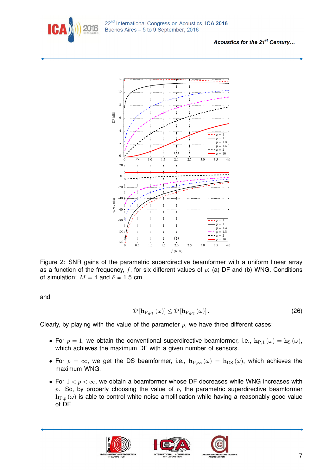



Figure 2: SNR gains of the parametric superdirective beamformer with a uniform linear array as a function of the frequency, *f*, for six different values of *p*: (a) DF and (b) WNG. Conditions of simulation:  $M = 4$  and  $\delta = 1.5$  cm.

and

$$
\mathcal{D}\left[\mathbf{h}_{P,p_1}\left(\omega\right)\right] \le \mathcal{D}\left[\mathbf{h}_{P,p_2}\left(\omega\right)\right].\tag{26}
$$

Clearly, by playing with the value of the parameter  $p$ , we have three different cases:

- For  $p = 1$ , we obtain the conventional superdirective beamformer, i.e.,  $\mathbf{h}_{P,1}(\omega) = \mathbf{h}_{S}(\omega)$ , which achieves the maximum DF with a given number of sensors.
- For  $p = \infty$ , we get the DS beamformer, i.e.,  $h_{P,\infty}(\omega) = h_{DS}(\omega)$ , which achieves the maximum WNG.
- For 1 *< p <* ∞, we obtain a beamformer whose DF decreases while WNG increases with *p*. So, by properly choosing the value of *p*, the parametric superdirective beamformer  $h_{P,p}(\omega)$  is able to control white noise amplification while having a reasonably good value of DF.





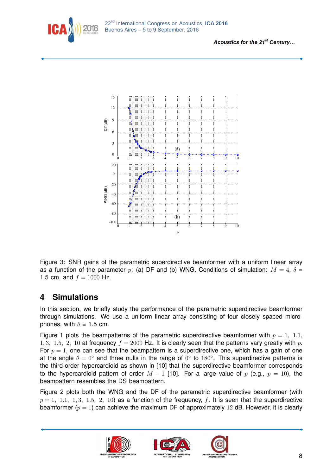



Figure 3: SNR gains of the parametric superdirective beamformer with a uniform linear array as a function of the parameter *p*: (a) DF and (b) WNG. Conditions of simulation:  $M = 4$ ,  $\delta =$ 1.5 cm, and  $f = 1000$  Hz.

#### **4 Simulations**

In this section, we briefly study the performance of the parametric superdirective beamformer through simulations. We use a uniform linear array consisting of four closely spaced microphones, with  $\delta = 1.5$  cm.

Figure 1 plots the beampatterns of the parametric superdirective beamformer with  $p = 1, 1.1,$ 1, 3, 1.5, 2, 10 at frequency  $f = 2000$  Hz. It is clearly seen that the patterns vary greatly with p. For  $p = 1$ , one can see that the beampattern is a superdirective one, which has a gain of one at the angle  $\theta = 0^\circ$  and three nulls in the range of  $0^\circ$  to 180°. This superdirective patterns is the third-order hypercardioid as shown in [10] that the superdirective beamformer corresponds to the hypercardioid pattern of order  $M - 1$  [10]. For a large value of p (e.g.,  $p = 10$ ), the beampattern resembles the DS beampattern.

Figure 2 plots both the WNG and the DF of the parametric superdirective beamformer (with  $p = 1, 1.1, 1, 3, 1.5, 2, 10$  as a function of the frequency, f. It is seen that the superdirective beamformer  $(p = 1)$  can achieve the maximum DF of approximately 12 dB. However, it is clearly





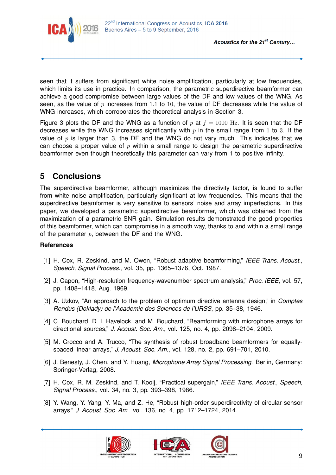



seen that it suffers from significant white noise amplification, particularly at low frequencies, which limits its use in practice. In comparison, the parametric superdirective beamformer can achieve a good compromise between large values of the DF and low values of the WNG. As seen, as the value of *p* increases from 1*.*1 to 10, the value of DF decreases while the value of WNG increases, which corroborates the theoretical analysis in Section 3.

Figure 3 plots the DF and the WNG as a function of p at  $f = 1000$  Hz. It is seen that the DF decreases while the WNG increases significantly with  $p$  in the small range from 1 to 3. If the value of *p* is larger than 3, the DF and the WNG do not vary much. This indicates that we can choose a proper value of *p* within a small range to design the parametric superdirective beamformer even though theoretically this parameter can vary from 1 to positive infinity.

### **5 Conclusions**

The superdirective beamformer, although maximizes the directivity factor, is found to suffer from white noise amplification, particularly significant at low frequencies. This means that the superdirective beamformer is very sensitive to sensors' noise and array imperfections. In this paper, we developed a parametric superdirective beamformer, which was obtained from the maximization of a parametric SNR gain. Simulation results demonstrated the good properties of this beamformer, which can compromise in a smooth way, thanks to and within a small range of the parameter *p*, between the DF and the WNG.

#### **References**

- [1] H. Cox, R. Zeskind, and M. Owen, "Robust adaptive beamforming," *IEEE Trans. Acoust., Speech, Signal Process.*, vol. 35, pp. 1365–1376, Oct. 1987.
- [2] J. Capon, "High-resolution frequency-wavenumber spectrum analysis," *Proc. IEEE*, vol. 57, pp. 1408–1418, Aug. 1969.
- [3] A. Uzkov, "An approach to the problem of optimum directive antenna design," in *Comptes Rendus (Doklady) de l'Academie des Sciences de l'URSS*, pp. 35–38, 1946.
- [4] C. Bouchard, D. I. Havelock, and M. Bouchard, "Beamforming with microphone arrays for directional sources," *J. Acoust. Soc. Am.*, vol. 125, no. 4, pp. 2098–2104, 2009.
- [5] M. Crocco and A. Trucco, "The synthesis of robust broadband beamformers for equallyspaced linear arrays," *J. Acoust. Soc. Am.*, vol. 128, no. 2, pp. 691–701, 2010.
- [6] J. Benesty, J. Chen, and Y. Huang, *Microphone Array Signal Processing*. Berlin, Germany: Springer-Verlag, 2008.
- [7] H. Cox, R. M. Zeskind, and T. Kooij, "Practical supergain," *IEEE Trans. Acoust., Speech, Signal Process.*, vol. 34, no. 3, pp. 393–398, 1986.
- [8] Y. Wang, Y. Yang, Y. Ma, and Z. He, "Robust high-order superdirectivity of circular sensor arrays," *J. Acoust. Soc. Am.*, vol. 136, no. 4, pp. 1712–1724, 2014.